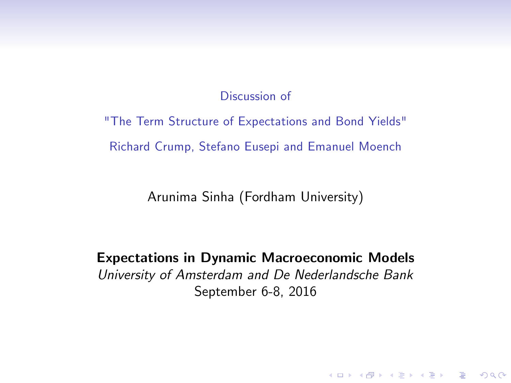#### Discussion of

"The Term Structure of Expectations and Bond Yields" Richard Crump, Stefano Eusepi and Emanuel Moench

Arunima Sinha (Fordham University)

Expectations in Dynamic Macroeconomic Models University of Amsterdam and De Nederlandsche Bank September 6-8, 2016

**K ロ ▶ K @ ▶ K 할 X X 할 X → 할 X → 9 Q Q ^**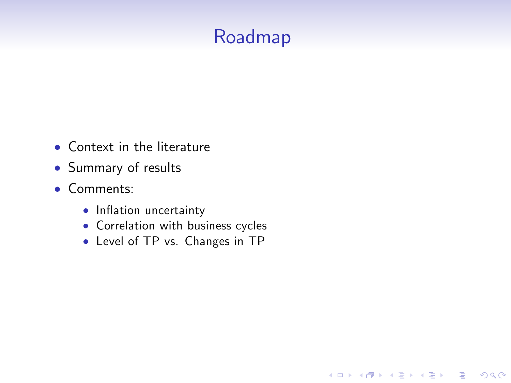## Roadmap

K ロ ▶ K @ ▶ K 할 > K 할 > 1 할 > 1 이익어

- Context in the literature
- Summary of results
- Comments:
	- Inflation uncertainty
	- Correlation with business cycles
	- Level of TP vs. Changes in TP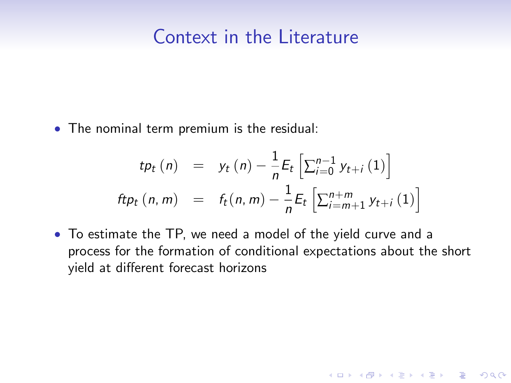#### Context in the Literature

The nominal term premium is the residual:

$$
tp_t (n) = y_t (n) - \frac{1}{n} E_t \left[ \sum_{i=0}^{n-1} y_{t+i} (1) \right]
$$
  
\n
$$
ftp_t (n, m) = f_t (n, m) - \frac{1}{n} E_t \left[ \sum_{i=m+1}^{n+m} y_{t+i} (1) \right]
$$

 To estimate the TP, we need a model of the yield curve and a process for the formation of conditional expectations about the short yield at different forecast horizons

K ロ ▶ K @ ▶ K 할 ▶ K 할 ▶ | 할 | © 9 Q @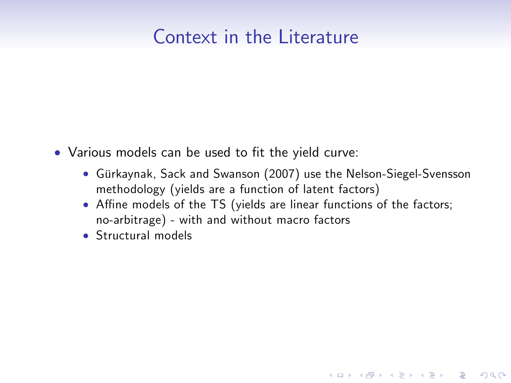#### Context in the Literature

- Various models can be used to fit the yield curve:
	- Gürkaynak, Sack and Swanson (2007) use the Nelson-Siegel-Svensson methodology (yields are a function of latent factors)

- Affine models of the TS (yields are linear functions of the factors; no-arbitrage) - with and without macro factors
- Structural models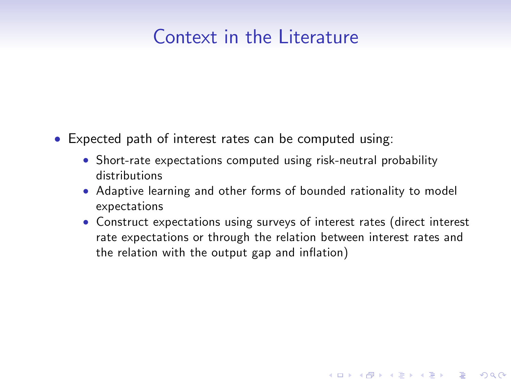#### Context in the Literature

- Expected path of interest rates can be computed using:
	- Short-rate expectations computed using risk-neutral probability distributions
	- Adaptive learning and other forms of bounded rationality to model expectations
	- Construct expectations using surveys of interest rates (direct interest rate expectations or through the relation between interest rates and the relation with the output gap and inflation)

**KOD KARD KED KED E VOOR**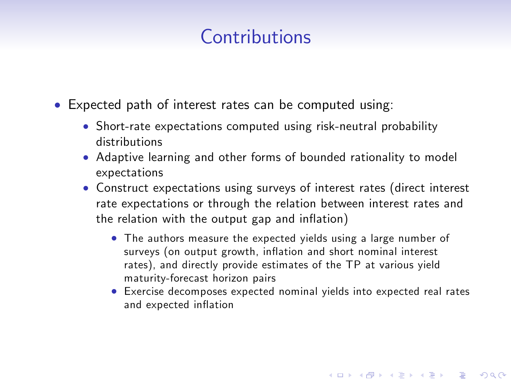# Contributions

- Expected path of interest rates can be computed using:
	- Short-rate expectations computed using risk-neutral probability distributions
	- Adaptive learning and other forms of bounded rationality to model expectations
	- Construct expectations using surveys of interest rates (direct interest rate expectations or through the relation between interest rates and the relation with the output gap and inflation)
		- The authors measure the expected yields using a large number of surveys (on output growth, inflation and short nominal interest rates), and directly provide estimates of the TP at various yield maturity-forecast horizon pairs
		- Exercise decomposes expected nominal yields into expected real rates and expected inflation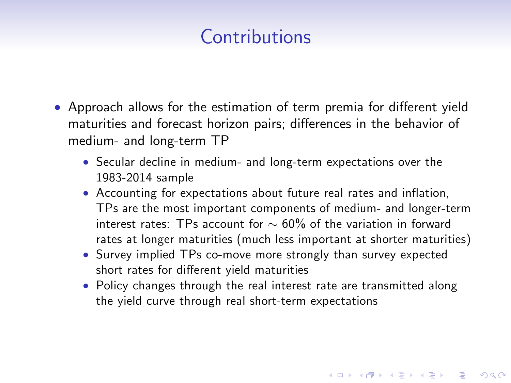# Contributions

- Approach allows for the estimation of term premia for different yield maturities and forecast horizon pairs; differences in the behavior of medium- and long-term TP
	- Secular decline in medium- and long-term expectations over the 1983-2014 sample
	- Accounting for expectations about future real rates and inflation, TPs are the most important components of medium- and longer-term interest rates: TPs account for  $\sim 60\%$  of the variation in forward rates at longer maturities (much less important at shorter maturities)
	- Survey implied TPs co-move more strongly than survey expected short rates for different yield maturities
	- Policy changes through the real interest rate are transmitted along the yield curve through real short-term expectations

**KOD KARD KED KED E VOOR**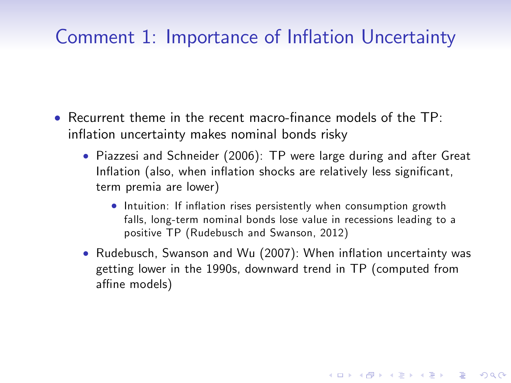- $\bullet$  Recurrent theme in the recent macro-finance models of the TP: inflation uncertainty makes nominal bonds risky
	- Piazzesi and Schneider (2006): TP were large during and after Great Inflation (also, when inflation shocks are relatively less significant, term premia are lower)
		- **•** Intuition: If inflation rises persistently when consumption growth falls, long-term nominal bonds lose value in recessions leading to a positive TP (Rudebusch and Swanson, 2012)
	- Rudebusch, Swanson and Wu (2007): When inflation uncertainty was getting lower in the 1990s, downward trend in TP (computed from affine models)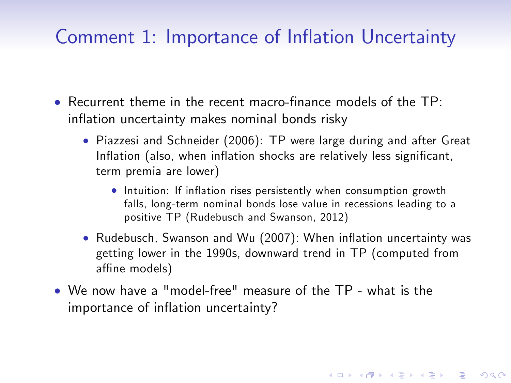- $\bullet$  Recurrent theme in the recent macro-finance models of the TP: inflation uncertainty makes nominal bonds risky
	- Piazzesi and Schneider (2006): TP were large during and after Great Inflation (also, when inflation shocks are relatively less significant, term premia are lower)
		- **•** Intuition: If inflation rises persistently when consumption growth falls, long-term nominal bonds lose value in recessions leading to a positive TP (Rudebusch and Swanson, 2012)
	- Rudebusch, Swanson and Wu (2007): When inflation uncertainty was getting lower in the 1990s, downward trend in TP (computed from affine models)

**KORKAR KERKER EL VOLO** 

 We now have a "model-free" measure of the TP - what is the importance of inflation uncertainty?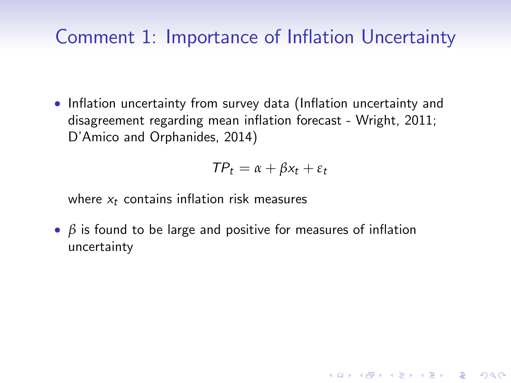• Inflation uncertainty from survey data (Inflation uncertainty and disagreement regarding mean inflation forecast - Wright, 2011; D'Amico and Orphanides, 2014)

$$
\mathit{TP}_t = \alpha + \beta x_t + \epsilon_t
$$

**KOD KARD KED KED E VOOR** 

where  $x_t$  contains inflation risk measures

**•**  $\beta$  is found to be large and positive for measures of inflation uncertainty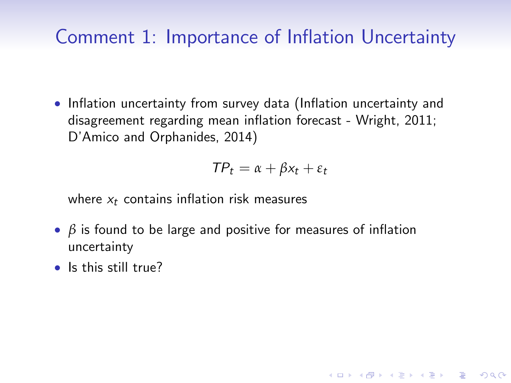• Inflation uncertainty from survey data (Inflation uncertainty and disagreement regarding mean inflation forecast - Wright, 2011; D'Amico and Orphanides, 2014)

$$
\mathit{TP}_t = \alpha + \beta x_t + \epsilon_t
$$

**KOD KARD KED KED E VOOR** 

where  $x_t$  contains inflation risk measures

- **•**  $\beta$  is found to be large and positive for measures of inflation uncertainty
- Is this still true?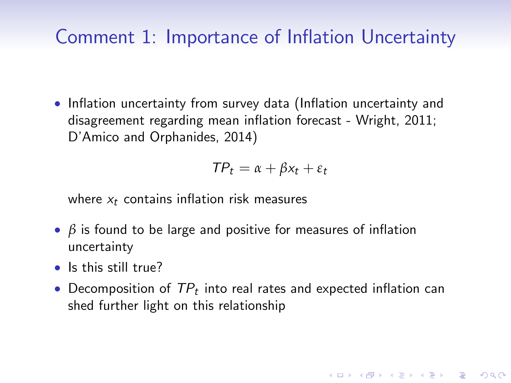• Inflation uncertainty from survey data (Inflation uncertainty and disagreement regarding mean inflation forecast - Wright, 2011; D'Amico and Orphanides, 2014)

$$
\mathit{TP}_t = \alpha + \beta x_t + \epsilon_t
$$

where  $x_t$  contains inflation risk measures

- **•**  $\beta$  is found to be large and positive for measures of inflation uncertainty
- Is this still true?
- $\bullet$  Decomposition of  $\mathcal{TP}_t$  into real rates and expected inflation can shed further light on this relationship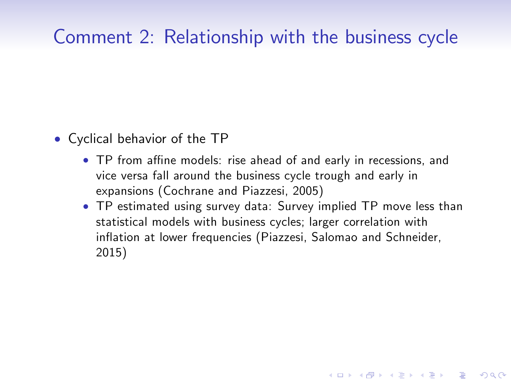# Comment 2: Relationship with the business cycle

- Cyclical behavior of the TP
	- TP from affine models: rise ahead of and early in recessions, and vice versa fall around the business cycle trough and early in expansions (Cochrane and Piazzesi, 2005)
	- TP estimated using survey data: Survey implied TP move less than statistical models with business cycles; larger correlation with inflation at lower frequencies (Piazzesi, Salomao and Schneider, 2015)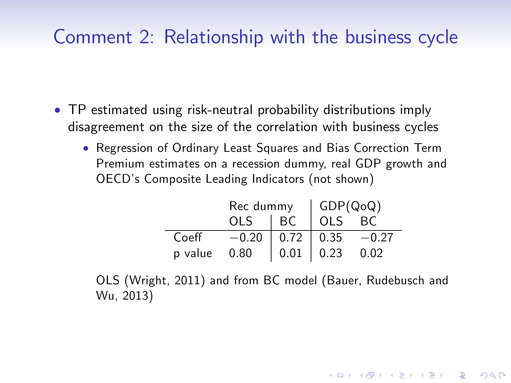#### Comment 2: Relationship with the business cycle

- TP estimated using risk-neutral probability distributions imply disagreement on the size of the correlation with business cycles
	- Regression of Ordinary Least Squares and Bias Correction Term Premium estimates on a recession dummy, real GDP growth and OECDís Composite Leading Indicators (not shown)

|         | Rec dummy $\left \begin{array}{c} GDP(Q \circ Q) \\ OLS \quad   \text{ BC} \quad OLS \quad BC \end{array}\right $ |                                                                                  |  |         |
|---------|-------------------------------------------------------------------------------------------------------------------|----------------------------------------------------------------------------------|--|---------|
|         |                                                                                                                   |                                                                                  |  |         |
| Coeff   | $-0.20$                                                                                                           | $\begin{array}{ c c c } \hline 0.72 & 0.35 \\ 0.01 & 0.23 \\ \hline \end{array}$ |  | $-0.27$ |
| p value | 0.80                                                                                                              |                                                                                  |  | 0.02    |

OLS (Wright, 2011) and from BC model (Bauer, Rudebusch and Wu, 2013)

**KORKAR KERKER EL VOLO**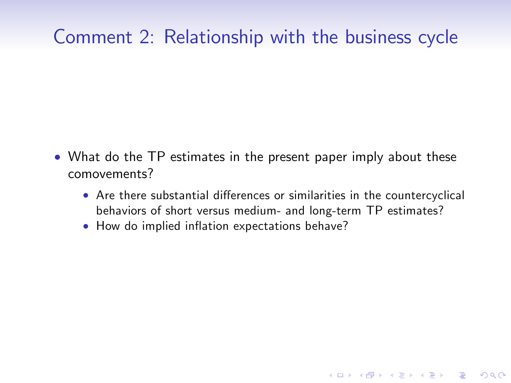## Comment 2: Relationship with the business cycle

- What do the TP estimates in the present paper imply about these comovements?
	- Are there substantial differences or similarities in the countercyclical behaviors of short versus medium- and long-term TP estimates?

K ロ ▶ K @ ▶ K 할 > K 할 > 1 할 > 1 이익어

• How do implied inflation expectations behave?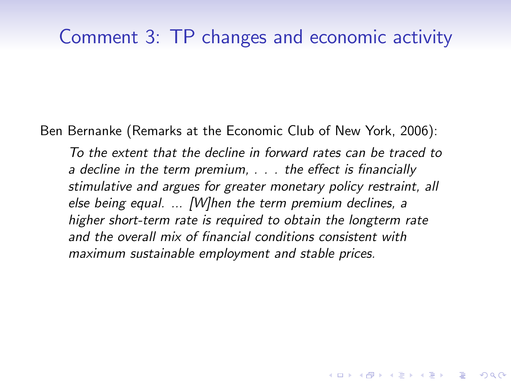Ben Bernanke (Remarks at the Economic Club of New York, 2006):

To the extent that the decline in forward rates can be traced to a decline in the term premium,  $\ldots$  the effect is financially stimulative and argues for greater monetary policy restraint, all else being equal. ... [W]hen the term premium declines, a higher short-term rate is required to obtain the longterm rate and the overall mix of financial conditions consistent with maximum sustainable employment and stable prices.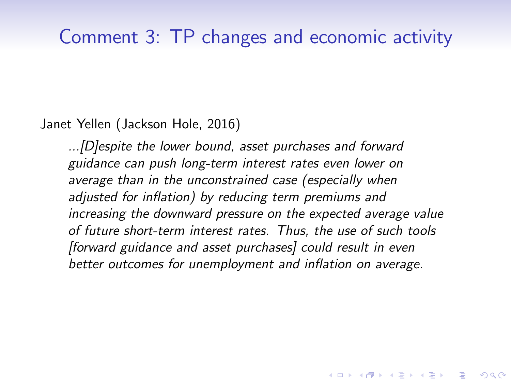Janet Yellen (Jackson Hole, 2016)

...[D]espite the lower bound, asset purchases and forward guidance can push long-term interest rates even lower on average than in the unconstrained case (especially when adjusted for inflation) by reducing term premiums and increasing the downward pressure on the expected average value of future short-term interest rates. Thus, the use of such tools [forward guidance and asset purchases] could result in even better outcomes for unemployment and inflation on average.

**KORKAR KERKER E VOOR**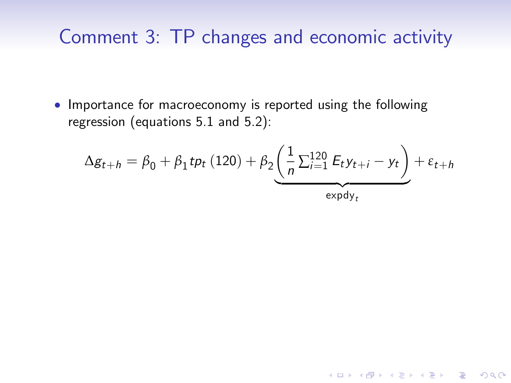• Importance for macroeconomy is reported using the following regression (equations 5.1 and 5.2):

$$
\Delta g_{t+h} = \beta_0 + \beta_1 t p_t (120) + \beta_2 \underbrace{\left(\frac{1}{n} \sum_{i=1}^{120} E_t y_{t+i} - y_t\right)}_{\text{expdy}_t} + \varepsilon_{t+h}
$$

K ロ ▶ K @ ▶ K 할 > K 할 > 1 할 > 1 이익어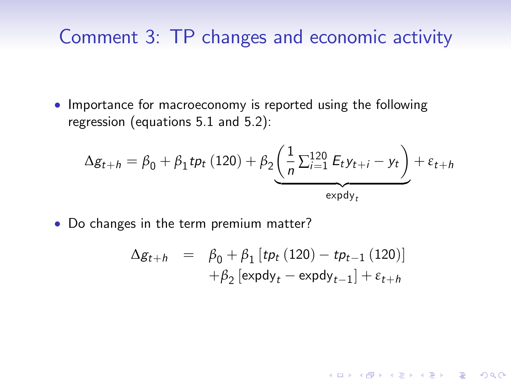• Importance for macroeconomy is reported using the following regression (equations 5.1 and 5.2):

$$
\Delta g_{t+h} = \beta_0 + \beta_1 t p_t (120) + \beta_2 \underbrace{\left(\frac{1}{n} \sum_{i=1}^{120} E_t y_{t+i} - y_t\right)}_{\text{expdy}_t} + \varepsilon_{t+h}
$$

• Do changes in the term premium matter?

$$
\Delta g_{t+h} = \beta_0 + \beta_1 [tp_t (120) - tp_{t-1} (120)] \n+ \beta_2 [\exp dy_t - \exp dy_{t-1}] + \varepsilon_{t+h}
$$

K ロ ▶ K @ ▶ K 할 > K 할 > 1 할 > 1 이익어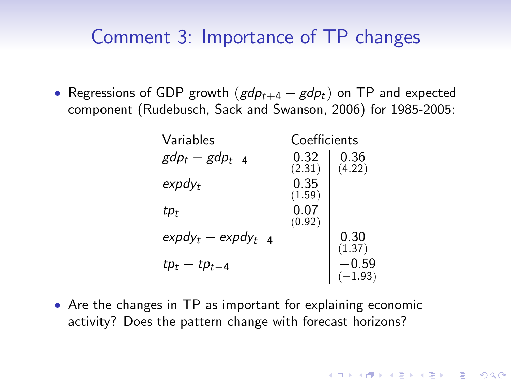#### Comment 3: Importance of TP changes

• Regressions of GDP growth  $(gdp_{t+4} - gdp_t)$  on TP and expected component (Rudebusch, Sack and Swanson, 2006) for 1985-2005:

| Variables                     | Coefficients   |                      |  |
|-------------------------------|----------------|----------------------|--|
| $gdp_t - gdp_{t-4}$           | 0.32<br>(2.31) | 0.36<br>(4.22)       |  |
| $\exp d v_t$                  | 0.35<br>(1.59) |                      |  |
| tp <sub>t</sub>               | 0.07<br>(0.92) |                      |  |
| $\exp d v_t - \exp d v_{t-4}$ |                | 0.30<br>(1.37)       |  |
| $tp_t - tp_{t-4}$             |                | $-0.59$<br>$(-1.93)$ |  |

**KORKAR KERKER E VOOR** 

 Are the changes in TP as important for explaining economic activity? Does the pattern change with forecast horizons?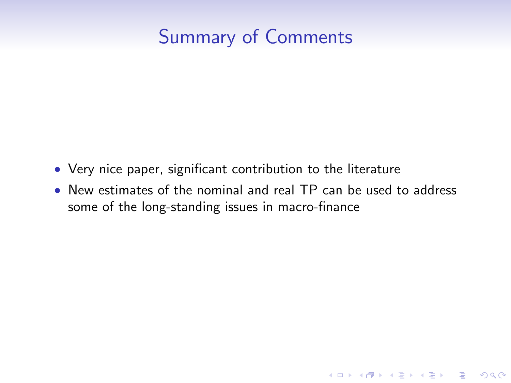# Summary of Comments

- Very nice paper, significant contribution to the literature
- New estimates of the nominal and real TP can be used to address some of the long-standing issues in macro-finance

K ロ ▶ K @ ▶ K 할 > K 할 > 1 할 > 1 이익어